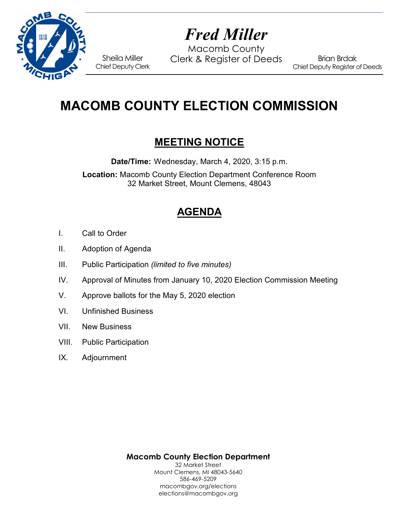

# *Fred Miller*

Macomb County Sheila Miller Clerk & Register of Deeds<br>Chief Deputy Clerk

Brian Brdak Chief Deputy Register of Deeds

# **MACOMB COUNTY ELECTION COMMISSION**

## **MEETING NOTICE**

**Date/Time:** Wednesday, March 4, 2020, 3:15 p.m.

**Location:** Macomb County Election Department Conference Room 32 Market Street, Mount Clemens, 48043

## **AGENDA**

- I. Call to Order
- II. Adoption of Agenda
- III. Public Participation *(limited to five minutes)*
- IV. Approval of Minutes from January 10, 2020 Election Commission Meeting
- V. Approve ballots for the May 5, 2020 election
- VI. Unfinished Business
- VII. New Business
- VIII. Public Participation
- IX. Adjournment

**Macomb County Election Department** 32 Market Street Mount Clemens, MI 48043-5640 586-469-5209 macombgov.org/elections elections@macombgov.org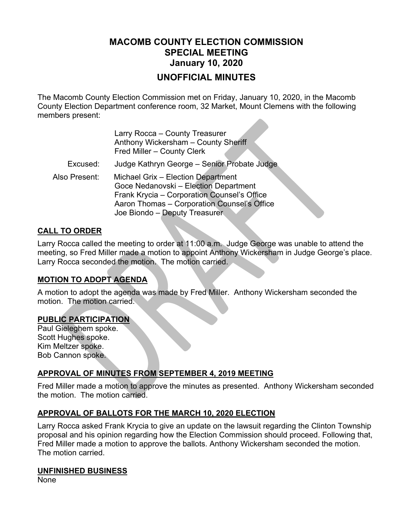### **MACOMB COUNTY ELECTION COMMISSION SPECIAL MEETING January 10, 2020 UNOFFICIAL MINUTES**

The Macomb County Election Commission met on Friday, January 10, 2020, in the Macomb County Election Department conference room, 32 Market, Mount Clemens with the following members present:

|               | Larry Rocca - County Treasurer<br>Anthony Wickersham - County Sheriff<br>Fred Miller - County Clerk                                                                                                        |
|---------------|------------------------------------------------------------------------------------------------------------------------------------------------------------------------------------------------------------|
| Excused:      | Judge Kathryn George - Senior Probate Judge                                                                                                                                                                |
| Also Present: | Michael Grix - Election Department<br>Goce Nedanovski - Election Department<br>Frank Krycia - Corporation Counsel's Office<br>Aaron Thomas - Corporation Counsel's Office<br>Joe Biondo - Deputy Treasurer |

#### **CALL TO ORDER**

Larry Rocca called the meeting to order at 11:00 a.m. Judge George was unable to attend the meeting, so Fred Miller made a motion to appoint Anthony Wickersham in Judge George's place. Larry Rocca seconded the motion. The motion carried.

#### **MOTION TO ADOPT AGENDA**

A motion to adopt the agenda was made by Fred Miller. Anthony Wickersham seconded the motion. The motion carried.

#### **PUBLIC PARTICIPATION**

Paul Gieleghem spoke. Scott Hughes spoke. Kim Meltzer spoke. Bob Cannon spoke.

#### **APPROVAL OF MINUTES FROM SEPTEMBER 4, 2019 MEETING**

Fred Miller made a motion to approve the minutes as presented. Anthony Wickersham seconded the motion. The motion carried.

#### **APPROVAL OF BALLOTS FOR THE MARCH 10, 2020 ELECTION**

Larry Rocca asked Frank Krycia to give an update on the lawsuit regarding the Clinton Township proposal and his opinion regarding how the Election Commission should proceed. Following that, Fred Miller made a motion to approve the ballots. Anthony Wickersham seconded the motion. The motion carried.

#### **UNFINISHED BUSINESS**

None